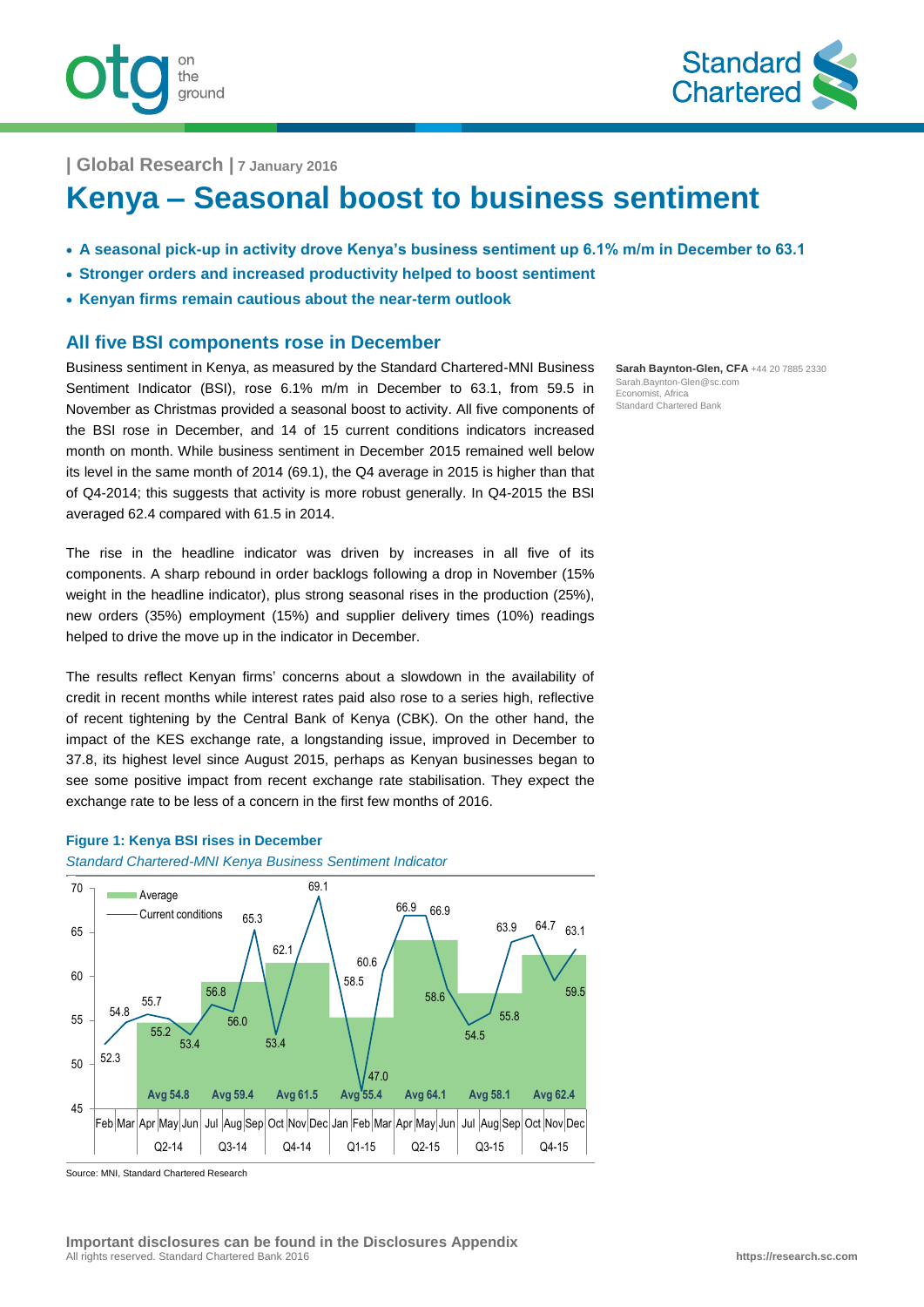

the

ground

# **Kenya – Seasonal boost to business sentiment**

- **A seasonal pick-up in activity drove Kenya's business sentiment up 6.1% m/m in December to 63.1**
- **Stronger orders and increased productivity helped to boost sentiment**
- **Kenyan firms remain cautious about the near-term outlook**

### **All five BSI components rose in December**

Business sentiment in Kenya, as measured by the Standard Chartered-MNI Business Sentiment Indicator (BSI), rose 6.1% m/m in December to 63.1, from 59.5 in November as Christmas provided a seasonal boost to activity. All five components of the BSI rose in December, and 14 of 15 current conditions indicators increased month on month. While business sentiment in December 2015 remained well below its level in the same month of 2014 (69.1), the Q4 average in 2015 is higher than that of Q4-2014; this suggests that activity is more robust generally. In Q4-2015 the BSI averaged 62.4 compared with 61.5 in 2014.

The rise in the headline indicator was driven by increases in all five of its components. A sharp rebound in order backlogs following a drop in November (15% weight in the headline indicator), plus strong seasonal rises in the production (25%), new orders (35%) employment (15%) and supplier delivery times (10%) readings helped to drive the move up in the indicator in December.

The results reflect Kenyan firms' concerns about a slowdown in the availability of credit in recent months while interest rates paid also rose to a series high, reflective of recent tightening by the Central Bank of Kenya (CBK). On the other hand, the impact of the KES exchange rate, a longstanding issue, improved in December to 37.8, its highest level since August 2015, perhaps as Kenyan businesses began to see some positive impact from recent exchange rate stabilisation. They expect the exchange rate to be less of a concern in the first few months of 2016.

### **Figure 1: Kenya BSI rises in December**

*Standard Chartered-MNI Kenya Business Sentiment Indicator*



Source: MNI, Standard Chartered Research

**Sarah Baynton-Glen, CFA** +44 20 7885 2330 Sarah.Baynton-Glen@sc.com Economist, Africa Standard Chartered Bank

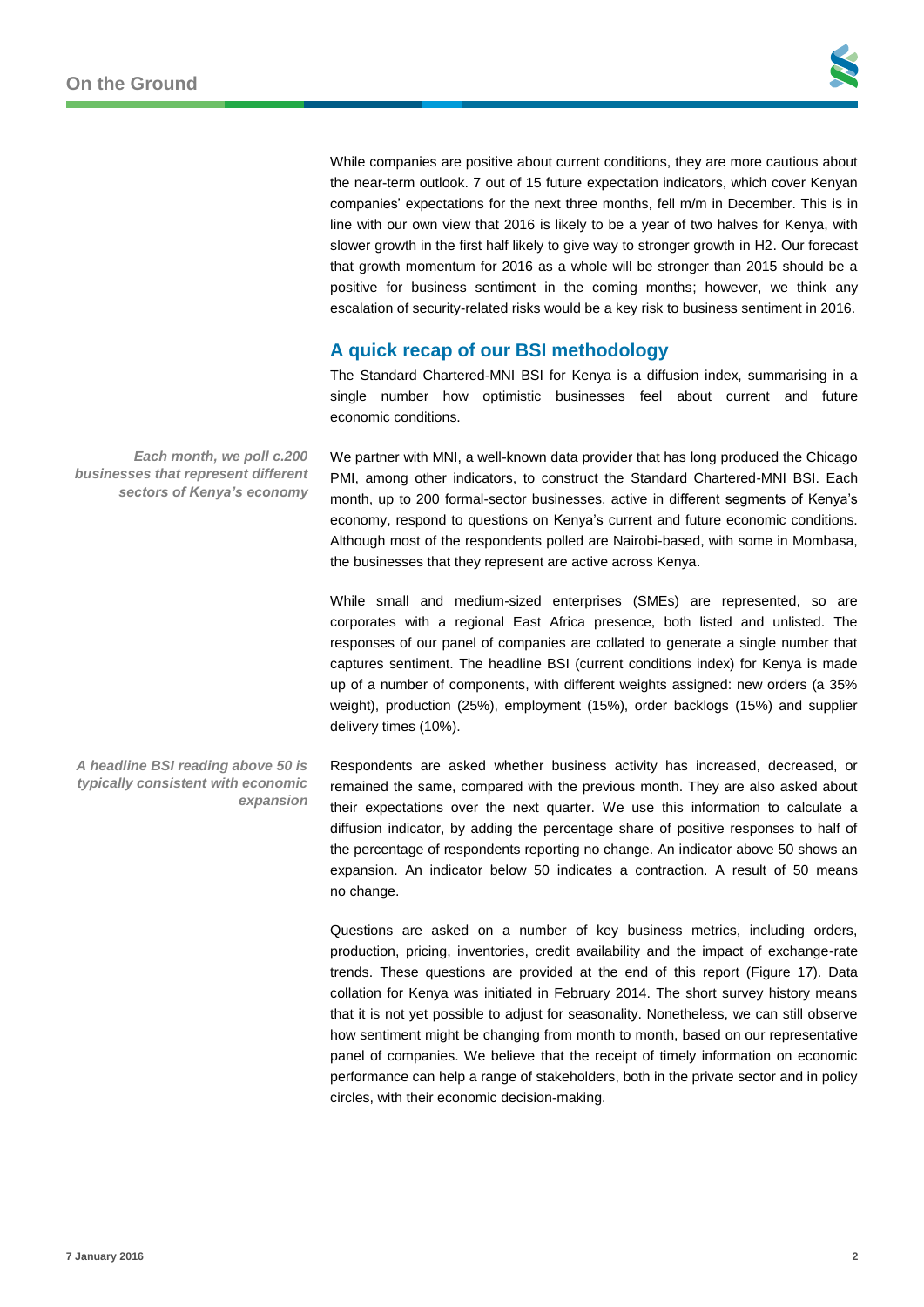

While companies are positive about current conditions, they are more cautious about the near-term outlook. 7 out of 15 future expectation indicators, which cover Kenyan companies' expectations for the next three months, fell m/m in December. This is in line with our own view that 2016 is likely to be a year of two halves for Kenya, with slower growth in the first half likely to give way to stronger growth in H2. Our forecast that growth momentum for 2016 as a whole will be stronger than 2015 should be a positive for business sentiment in the coming months; however, we think any escalation of security-related risks would be a key risk to business sentiment in 2016.

### **A quick recap of our BSI methodology**

The Standard Chartered-MNI BSI for Kenya is a diffusion index, summarising in a single number how optimistic businesses feel about current and future economic conditions.

We partner with MNI, a well-known data provider that has long produced the Chicago PMI, among other indicators, to construct the Standard Chartered-MNI BSI. Each month, up to 200 formal-sector businesses, active in different segments of Kenya's economy, respond to questions on Kenya's current and future economic conditions. Although most of the respondents polled are Nairobi-based, with some in Mombasa, the businesses that they represent are active across Kenya.

While small and medium-sized enterprises (SMEs) are represented, so are corporates with a regional East Africa presence, both listed and unlisted. The responses of our panel of companies are collated to generate a single number that captures sentiment. The headline BSI (current conditions index) for Kenya is made up of a number of components, with different weights assigned: new orders (a 35% weight), production (25%), employment (15%), order backlogs (15%) and supplier delivery times (10%).

Respondents are asked whether business activity has increased, decreased, or remained the same, compared with the previous month. They are also asked about their expectations over the next quarter. We use this information to calculate a diffusion indicator, by adding the percentage share of positive responses to half of the percentage of respondents reporting no change. An indicator above 50 shows an expansion. An indicator below 50 indicates a contraction. A result of 50 means no change.

Questions are asked on a number of key business metrics, including orders, production, pricing, inventories, credit availability and the impact of exchange-rate trends. These questions are provided at the end of this report (Figure 17). Data collation for Kenya was initiated in February 2014. The short survey history means that it is not yet possible to adjust for seasonality. Nonetheless, we can still observe how sentiment might be changing from month to month, based on our representative panel of companies. We believe that the receipt of timely information on economic performance can help a range of stakeholders, both in the private sector and in policy circles, with their economic decision-making.

*Each month, we poll c.200 businesses that represent different sectors of Kenya's economy*

*A headline BSI reading above 50 is typically consistent with economic expansion*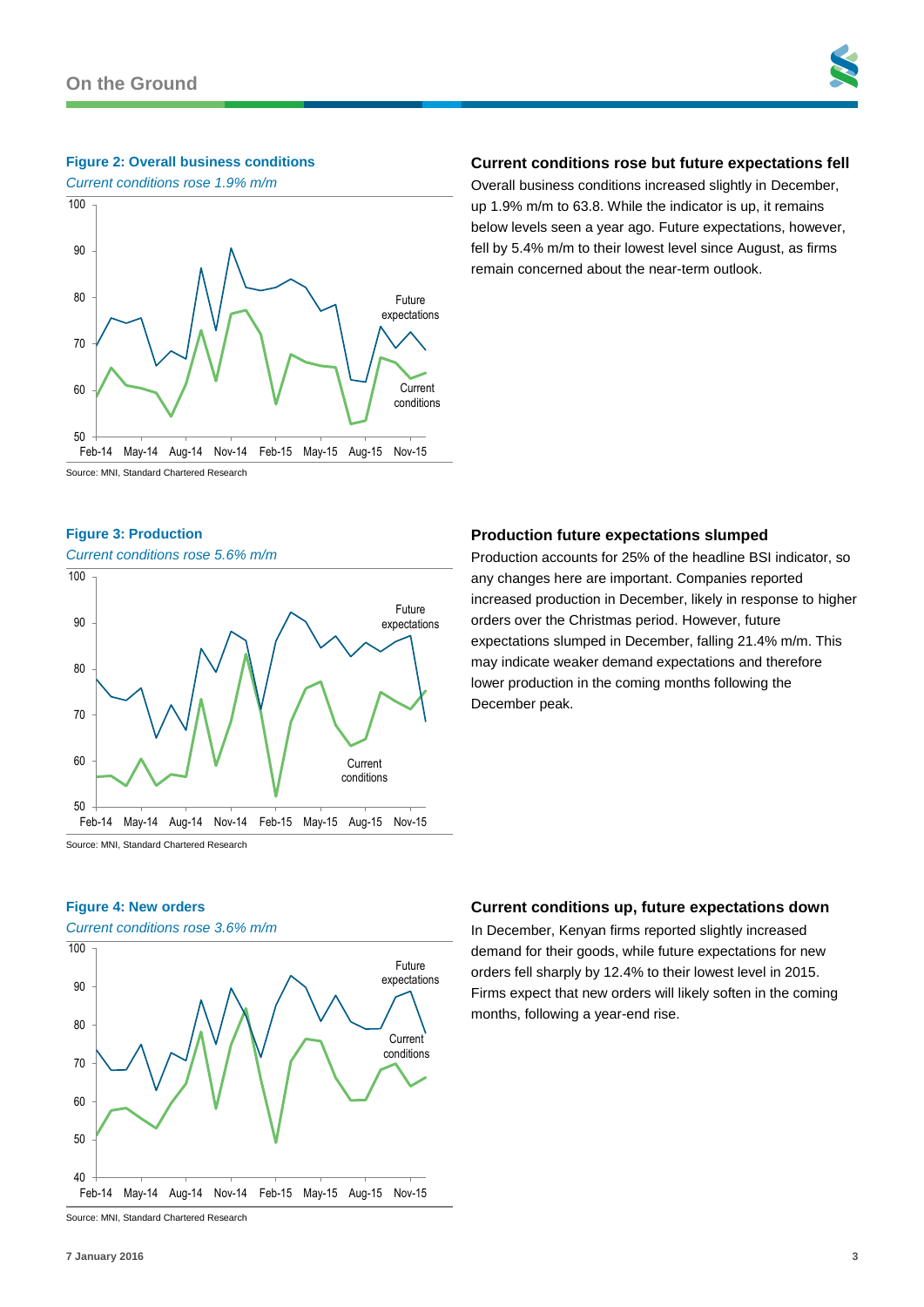### **Figure 2: Overall business conditions**

*Current conditions rose 1.9% m/m*



### **Current conditions rose but future expectations fell**

Overall business conditions increased slightly in December, up 1.9% m/m to 63.8. While the indicator is up, it remains below levels seen a year ago. Future expectations, however, fell by 5.4% m/m to their lowest level since August, as firms remain concerned about the near-term outlook.

Source: MNI, Standard Chartered Research

### **Figure 3: Production**

#### *Current conditions rose 5.6% m/m*



### **Production future expectations slumped**

Production accounts for 25% of the headline BSI indicator, so any changes here are important. Companies reported increased production in December, likely in response to higher orders over the Christmas period. However, future expectations slumped in December, falling 21.4% m/m. This may indicate weaker demand expectations and therefore lower production in the coming months following the December peak.

*Current conditions rose 3.6% m/m*

**Figure 4: New orders**

### Current conditions Future expectations 40 50 60 70 80 90 100

Feb-14 May-14 Aug-14 Nov-14 Feb-15 May-15 Aug-15 Nov-15

### **Current conditions up, future expectations down**

In December, Kenyan firms reported slightly increased demand for their goods, while future expectations for new orders fell sharply by 12.4% to their lowest level in 2015. Firms expect that new orders will likely soften in the coming months, following a year-end rise.

Source: MNI, Standard Chartered Research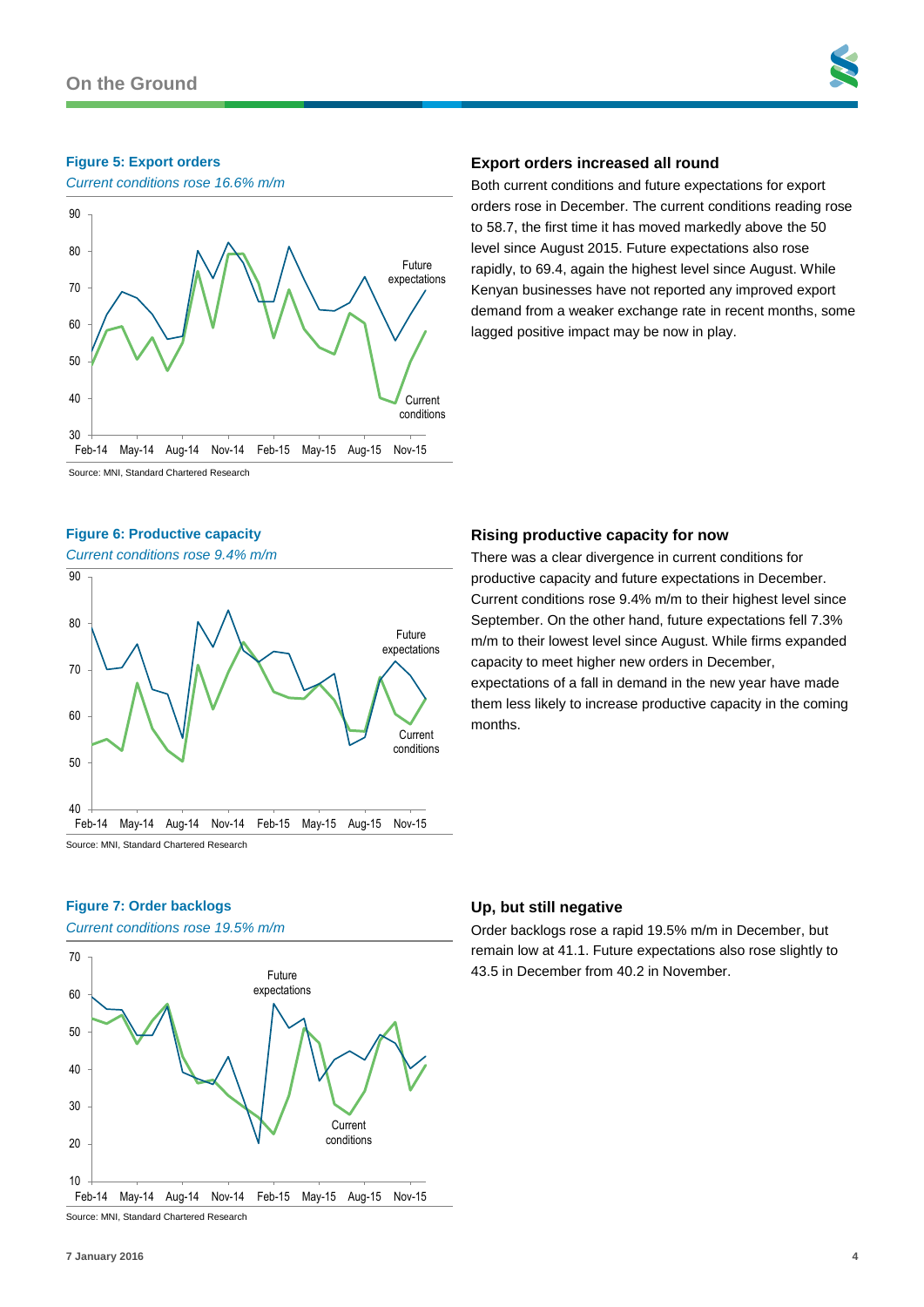### **Figure 5: Export orders**

*Current conditions rose 16.6% m/m*



#### Source: MNI, Standard Chartered Research

### **Figure 6: Productive capacity**

*Current conditions rose 9.4% m/m*



### **Export orders increased all round**

Both current conditions and future expectations for export orders rose in December. The current conditions reading rose to 58.7, the first time it has moved markedly above the 50 level since August 2015. Future expectations also rose rapidly, to 69.4, again the highest level since August. While Kenyan businesses have not reported any improved export demand from a weaker exchange rate in recent months, some lagged positive impact may be now in play.

### **Rising productive capacity for now**

There was a clear divergence in current conditions for productive capacity and future expectations in December. Current conditions rose 9.4% m/m to their highest level since September. On the other hand, future expectations fell 7.3% m/m to their lowest level since August. While firms expanded capacity to meet higher new orders in December, expectations of a fall in demand in the new year have made them less likely to increase productive capacity in the coming months.

#### **Figure 7: Order backlogs**

*Current conditions rose 19.5% m/m*



#### Source: MNI, Standard Chartered Research

### **Up, but still negative**

Order backlogs rose a rapid 19.5% m/m in December, but remain low at 41.1. Future expectations also rose slightly to 43.5 in December from 40.2 in November.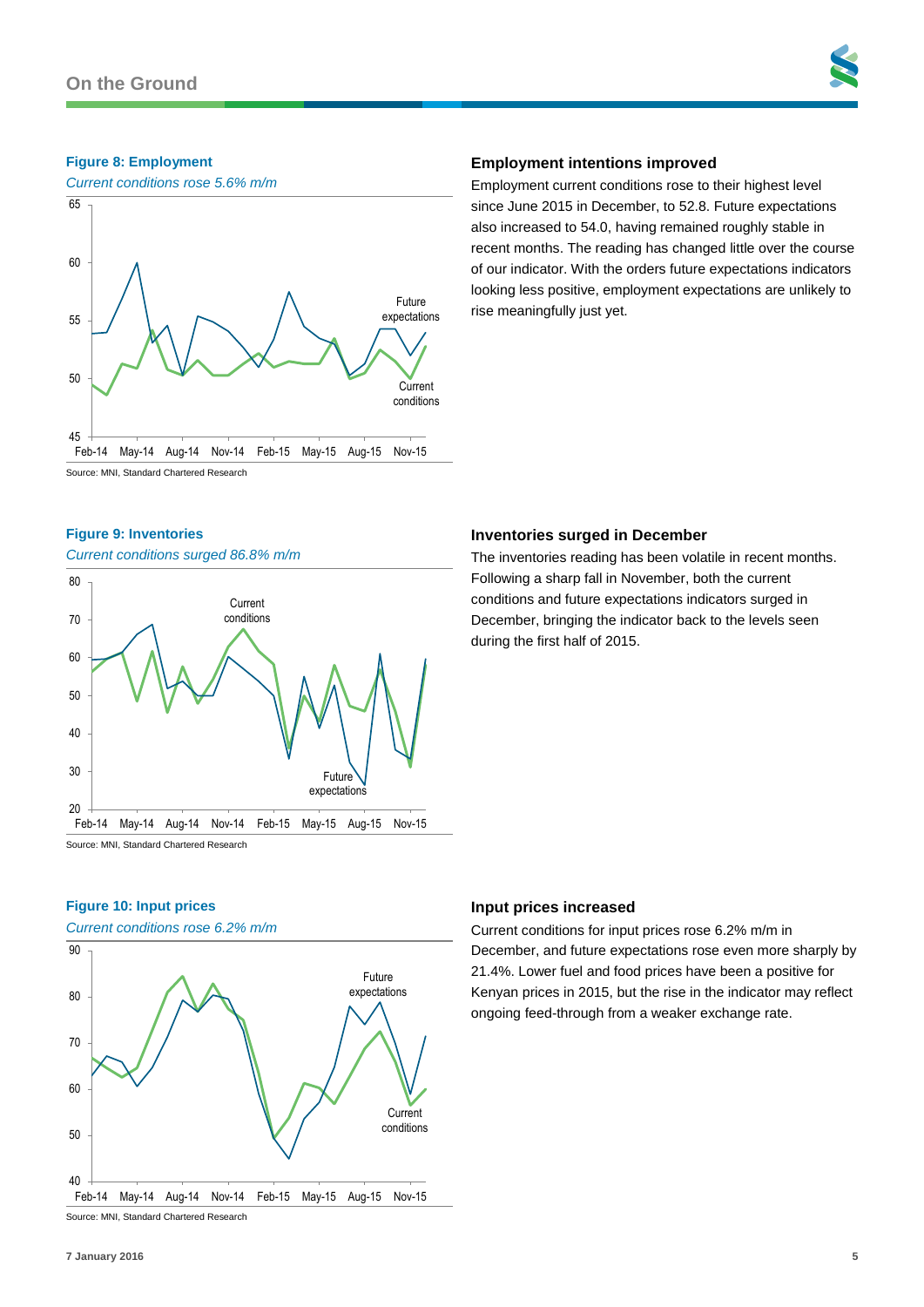#### **Figure 8: Employment**



### **Employment intentions improved**

Employment current conditions rose to their highest level since June 2015 in December, to 52.8. Future expectations also increased to 54.0, having remained roughly stable in recent months. The reading has changed little over the course of our indicator. With the orders future expectations indicators looking less positive, employment expectations are unlikely to rise meaningfully just yet.

Source: MNI, Standard Chartered Research

### **Figure 9: Inventories**

*Current conditions surged 86.8% m/m*



### **Inventories surged in December**

The inventories reading has been volatile in recent months. Following a sharp fall in November, both the current conditions and future expectations indicators surged in December, bringing the indicator back to the levels seen during the first half of 2015.

### **Figure 10: Input prices**

*Current conditions rose 6.2% m/m*



Source: MNI, Standard Chartered Research

### **Input prices increased**

Current conditions for input prices rose 6.2% m/m in December, and future expectations rose even more sharply by 21.4%. Lower fuel and food prices have been a positive for Kenyan prices in 2015, but the rise in the indicator may reflect ongoing feed-through from a weaker exchange rate.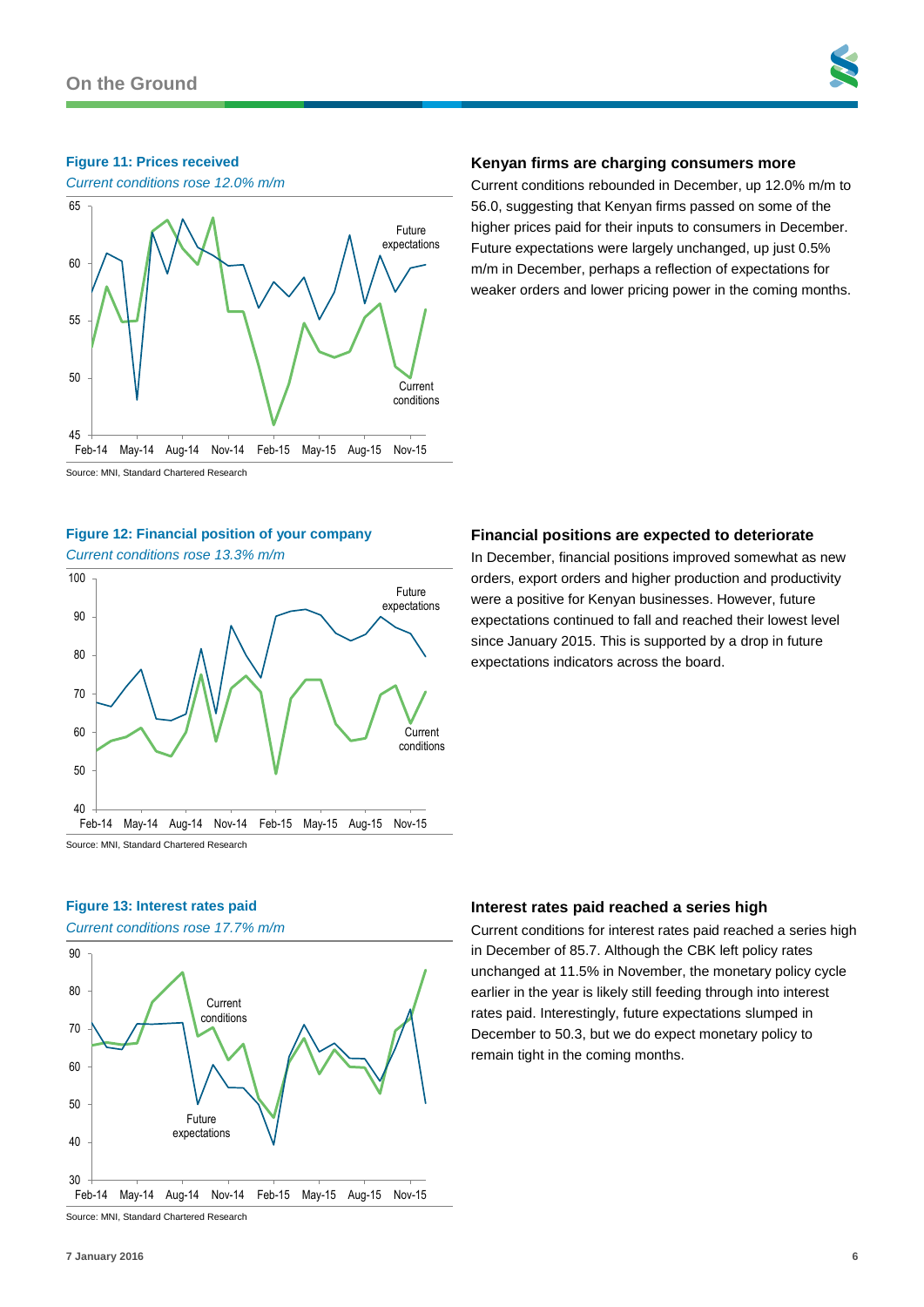

### **Kenyan firms are charging consumers more**

Current conditions rebounded in December, up 12.0% m/m to 56.0, suggesting that Kenyan firms passed on some of the higher prices paid for their inputs to consumers in December. Future expectations were largely unchanged, up just 0.5% m/m in December, perhaps a reflection of expectations for weaker orders and lower pricing power in the coming months.

Source: MNI, Standard Chartered Research

### **Figure 12: Financial position of your company**

*Current conditions rose 13.3% m/m*



### **Financial positions are expected to deteriorate**

In December, financial positions improved somewhat as new orders, export orders and higher production and productivity were a positive for Kenyan businesses. However, future expectations continued to fall and reached their lowest level since January 2015. This is supported by a drop in future expectations indicators across the board.

### **Figure 13: Interest rates paid**

*Current conditions rose 17.7% m/m*



Source: MNI, Standard Chartered Research

### **Interest rates paid reached a series high**

Current conditions for interest rates paid reached a series high in December of 85.7. Although the CBK left policy rates unchanged at 11.5% in November, the monetary policy cycle earlier in the year is likely still feeding through into interest rates paid. Interestingly, future expectations slumped in December to 50.3, but we do expect monetary policy to remain tight in the coming months.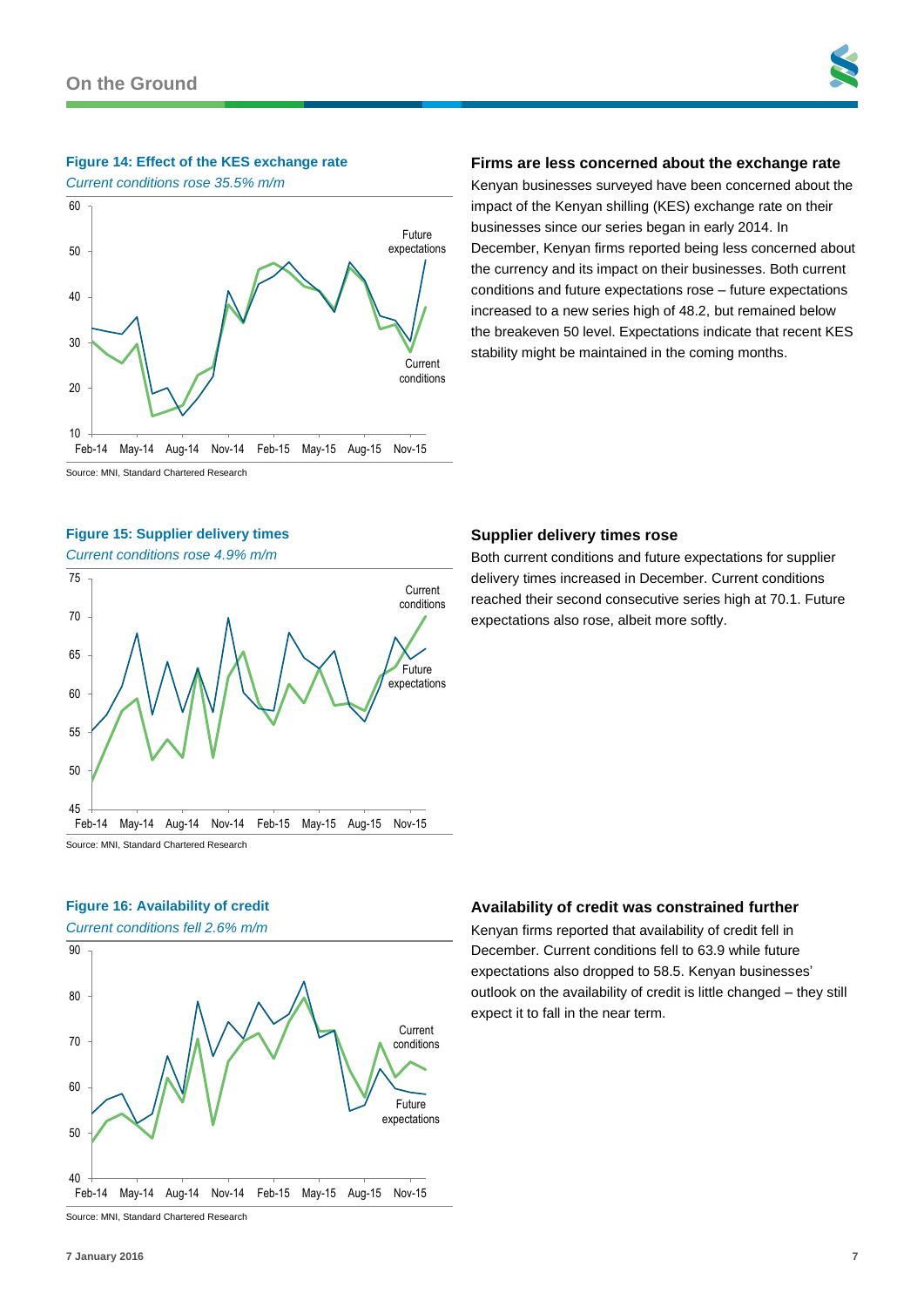### **Figure 14: Effect of the KES exchange rate**

*Current conditions rose 35.5% m/m*



### **Firms are less concerned about the exchange rate**

Kenyan businesses surveyed have been concerned about the impact of the Kenyan shilling (KES) exchange rate on their businesses since our series began in early 2014. In December, Kenyan firms reported being less concerned about the currency and its impact on their businesses. Both current conditions and future expectations rose – future expectations increased to a new series high of 48.2, but remained below the breakeven 50 level. Expectations indicate that recent KES stability might be maintained in the coming months.

Source: MNI, Standard Chartered Research

### **Figure 15: Supplier delivery times**

*Current conditions rose 4.9% m/m*



### **Supplier delivery times rose**

Both current conditions and future expectations for supplier delivery times increased in December. Current conditions reached their second consecutive series high at 70.1. Future expectations also rose, albeit more softly.

### **Figure 16: Availability of credit**

*Current conditions fell 2.6% m/m*



**Availability of credit was constrained further**

Kenyan firms reported that availability of credit fell in December. Current conditions fell to 63.9 while future expectations also dropped to 58.5. Kenyan businesses' outlook on the availability of credit is little changed – they still expect it to fall in the near term.

Source: MNI, Standard Chartered Research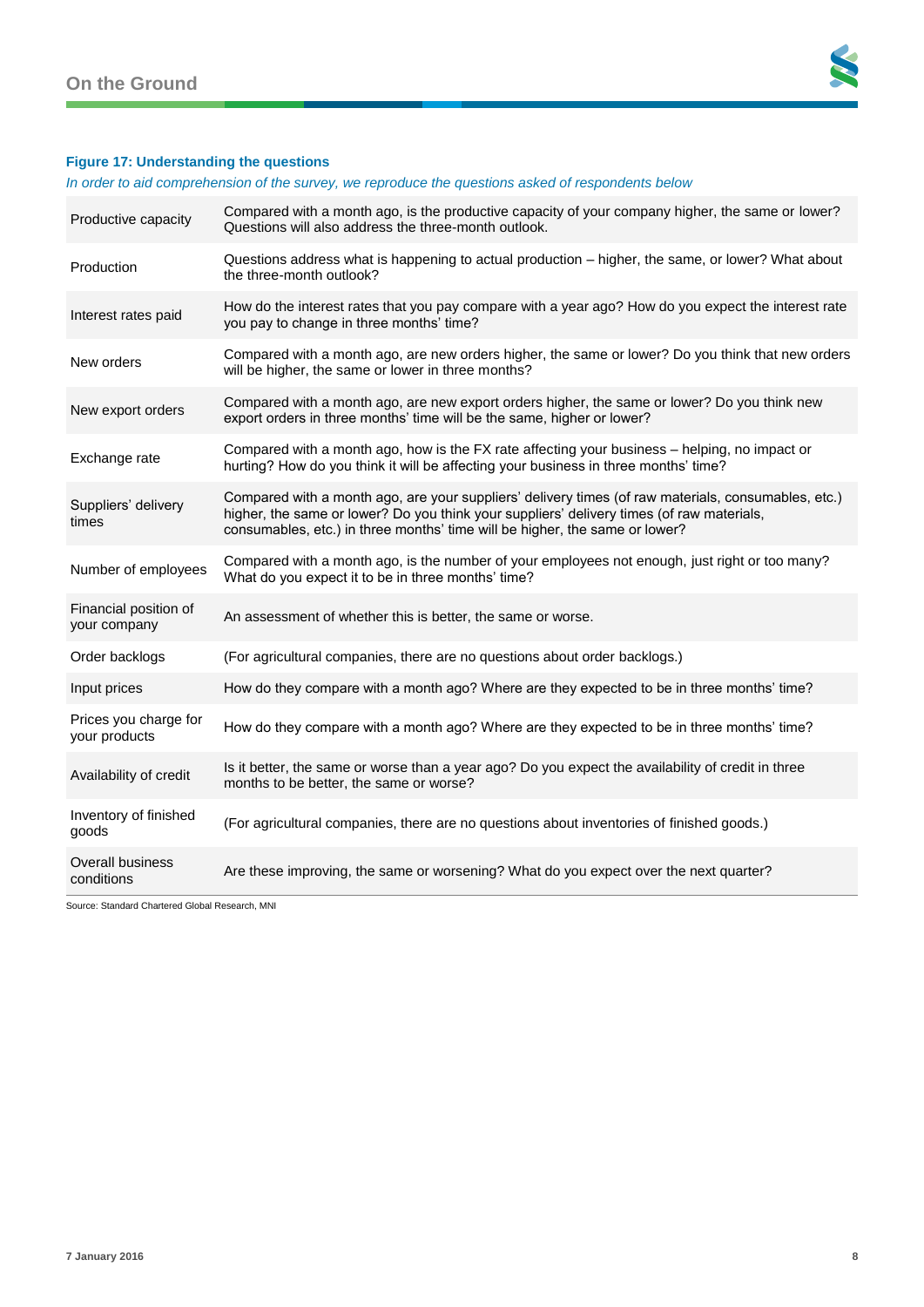

### **Figure 17: Understanding the questions**

*In order to aid comprehension of the survey, we reproduce the questions asked of respondents below*

| Productive capacity                    | Compared with a month ago, is the productive capacity of your company higher, the same or lower?<br>Questions will also address the three-month outlook.                                                                                                                        |
|----------------------------------------|---------------------------------------------------------------------------------------------------------------------------------------------------------------------------------------------------------------------------------------------------------------------------------|
| Production                             | Questions address what is happening to actual production – higher, the same, or lower? What about<br>the three-month outlook?                                                                                                                                                   |
| Interest rates paid                    | How do the interest rates that you pay compare with a year ago? How do you expect the interest rate<br>you pay to change in three months' time?                                                                                                                                 |
| New orders                             | Compared with a month ago, are new orders higher, the same or lower? Do you think that new orders<br>will be higher, the same or lower in three months?                                                                                                                         |
| New export orders                      | Compared with a month ago, are new export orders higher, the same or lower? Do you think new<br>export orders in three months' time will be the same, higher or lower?                                                                                                          |
| Exchange rate                          | Compared with a month ago, how is the FX rate affecting your business - helping, no impact or<br>hurting? How do you think it will be affecting your business in three months' time?                                                                                            |
| Suppliers' delivery<br>times           | Compared with a month ago, are your suppliers' delivery times (of raw materials, consumables, etc.)<br>higher, the same or lower? Do you think your suppliers' delivery times (of raw materials,<br>consumables, etc.) in three months' time will be higher, the same or lower? |
| Number of employees                    | Compared with a month ago, is the number of your employees not enough, just right or too many?<br>What do you expect it to be in three months' time?                                                                                                                            |
| Financial position of<br>your company  | An assessment of whether this is better, the same or worse.                                                                                                                                                                                                                     |
| Order backlogs                         | (For agricultural companies, there are no questions about order backlogs.)                                                                                                                                                                                                      |
| Input prices                           | How do they compare with a month ago? Where are they expected to be in three months' time?                                                                                                                                                                                      |
| Prices you charge for<br>your products | How do they compare with a month ago? Where are they expected to be in three months' time?                                                                                                                                                                                      |
| Availability of credit                 | Is it better, the same or worse than a year ago? Do you expect the availability of credit in three<br>months to be better, the same or worse?                                                                                                                                   |
| Inventory of finished<br>goods         | (For agricultural companies, there are no questions about inventories of finished goods.)                                                                                                                                                                                       |
| <b>Overall business</b><br>conditions  | Are these improving, the same or worsening? What do you expect over the next quarter?                                                                                                                                                                                           |

Source: Standard Chartered Global Research, MNI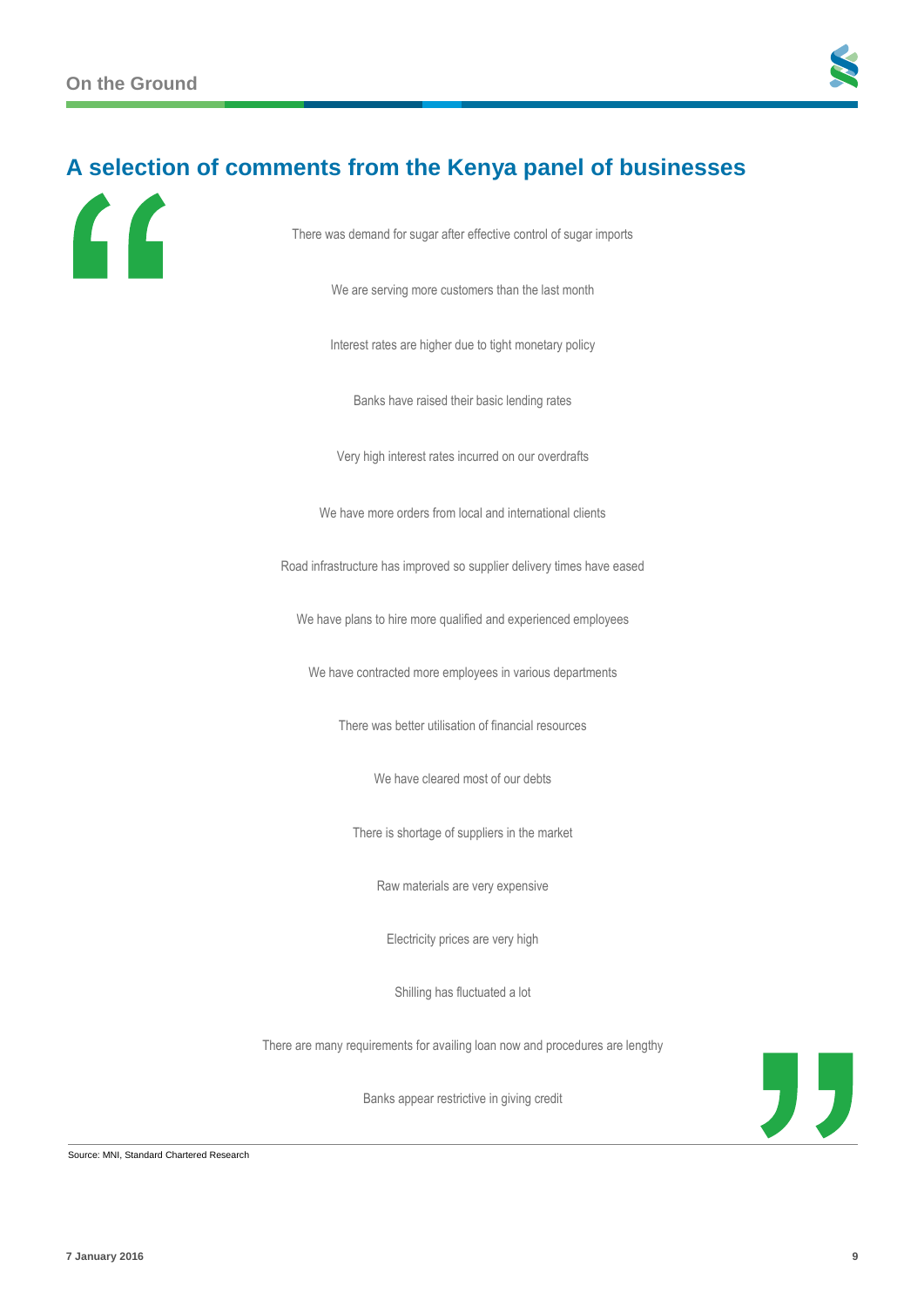

## **A selection of comments from the Kenya panel of businesses**



There was demand for sugar after effective control of sugar imports

We are serving more customers than the last month

Interest rates are higher due to tight monetary policy

Banks have raised their basic lending rates

Very high interest rates incurred on our overdrafts

We have more orders from local and international clients

Road infrastructure has improved so supplier delivery times have eased

We have plans to hire more qualified and experienced employees

We have contracted more employees in various departments

There was better utilisation of financial resources

We have cleared most of our debts

There is shortage of suppliers in the market

Raw materials are very expensive

Electricity prices are very high

Shilling has fluctuated a lot

There are many requirements for availing loan now and procedures are lengthy

Banks appear restrictive in giving credit



Source: MNI, Standard Chartered Research